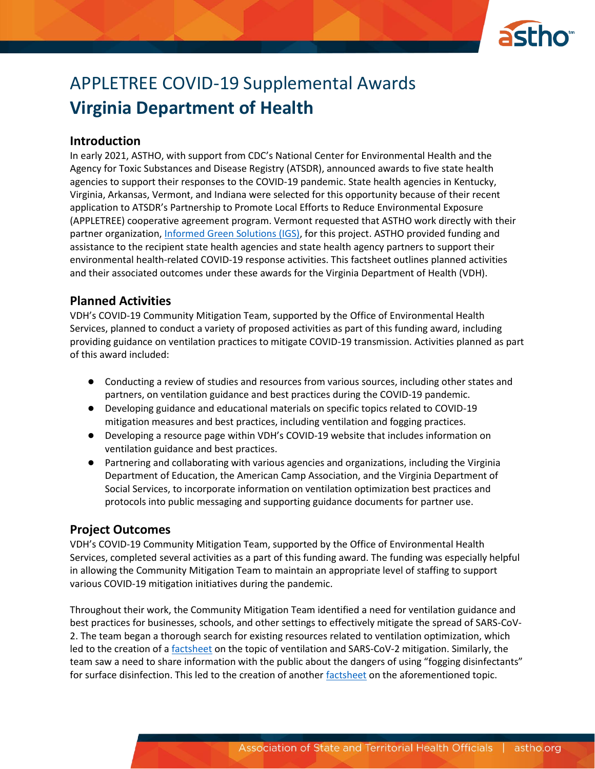

# APPLETREE COVID-19 Supplemental Awards **Virginia Department of Health**

#### **Introduction**

In early 2021, ASTHO, with support from CDC's National Center for Environmental Health and the Agency for Toxic Substances and Disease Registry (ATSDR), announced awards to five state health agencies to support their responses to the COVID-19 pandemic. State health agencies in Kentucky, Virginia, Arkansas, Vermont, and Indiana were selected for this opportunity because of their recent application to ATSDR's Partnership to Promote Local Efforts to Reduce Environmental Exposure (APPLETREE) cooperative agreement program. Vermont requested that ASTHO work directly with their partner organization, [Informed Green Solutions \(IGS\),](https://www.informedgreensolutions.org/) for this project. ASTHO provided funding and assistance to the recipient state health agencies and state health agency partners to support their environmental health-related COVID-19 response activities. This factsheet outlines planned activities and their associated outcomes under these awards for the Virginia Department of Health (VDH).

#### **Planned Activities**

VDH's COVID-19 Community Mitigation Team, supported by the Office of Environmental Health Services, planned to conduct a variety of proposed activities as part of this funding award, including providing guidance on ventilation practices to mitigate COVID-19 transmission. Activities planned as part of this award included:

- Conducting a review of studies and resources from various sources, including other states and partners, on ventilation guidance and best practices during the COVID-19 pandemic.
- Developing guidance and educational materials on specific topics related to COVID-19 mitigation measures and best practices, including ventilation and fogging practices.
- Developing a resource page within VDH's COVID-19 website that includes information on ventilation guidance and best practices.
- Partnering and collaborating with various agencies and organizations, including the Virginia Department of Education, the American Camp Association, and the Virginia Department of Social Services, to incorporate information on ventilation optimization best practices and protocols into public messaging and supporting guidance documents for partner use.

#### **Project Outcomes**

VDH's COVID-19 Community Mitigation Team, supported by the Office of Environmental Health Services, completed several activities as a part of this funding award. The funding was especially helpful in allowing the Community Mitigation Team to maintain an appropriate level of staffing to support various COVID-19 mitigation initiatives during the pandemic.

Throughout their work, the Community Mitigation Team identified a need for ventilation guidance and best practices for businesses, schools, and other settings to effectively mitigate the spread of SARS-CoV-2. The team began a thorough search for existing resources related to ventilation optimization, which led to the creation of a **factsheet** on the topic of ventilation and SARS-CoV-2 mitigation. Similarly, the team saw a need to share information with the public about the dangers of using "fogging disinfectants" for surface disinfection. This led to the creation of anothe[r factsheet](https://www.vdh.virginia.gov/content/uploads/sites/182/2021/06/Fogging-Disinfectants-COVID19-Fact-Sheet6-21.pdf) on the aforementioned topic.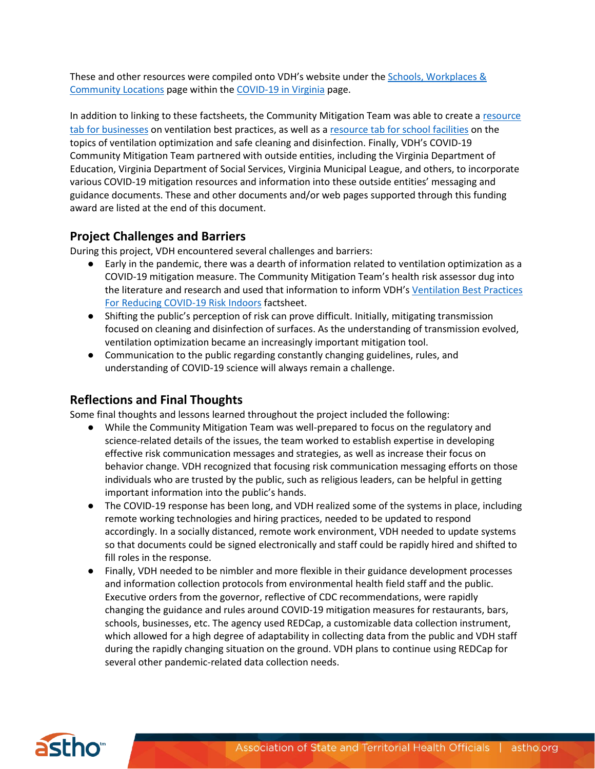These and other resources were compiled onto VDH's website under the [Schools, Workplaces &](https://www.vdh.virginia.gov/coronavirus/schools-workplaces-community-locations/)  [Community Locations](https://www.vdh.virginia.gov/coronavirus/schools-workplaces-community-locations/) page within th[e COVID-19 in Virginia](https://www.vdh.virginia.gov/coronavirus/) page.

In addition to linking to these factsheets, the Community Mitigation Team was able to create a resource [tab for businesses](https://www.vdh.virginia.gov/coronavirus/schools-workplaces-community-locations/businesses/) on ventilation best practices, as well as a [resource tab for school facilities](https://www.vdh.virginia.gov/coronavirus/schools-workplaces-community-locations/k-12-education/) on the topics of ventilation optimization and safe cleaning and disinfection. Finally, VDH's COVID-19 Community Mitigation Team partnered with outside entities, including the Virginia Department of Education, Virginia Department of Social Services, Virginia Municipal League, and others, to incorporate various COVID-19 mitigation resources and information into these outside entities' messaging and guidance documents. These and other documents and/or web pages supported through this funding award are listed at the end of this document.

## **Project Challenges and Barriers**

During this project, VDH encountered several challenges and barriers:

- Early in the pandemic, there was a dearth of information related to ventilation optimization as a COVID-19 mitigation measure. The Community Mitigation Team's health risk assessor dug into the literature and research and used that information to inform VDH's [Ventilation Best Practices](https://www.vdh.virginia.gov/content/uploads/sites/182/2021/04/Ventilation-Best-Practices-COVID-Fact-Sheet4-21.pdf)  [For Reducing COVID-19 Risk Indoors](https://www.vdh.virginia.gov/content/uploads/sites/182/2021/04/Ventilation-Best-Practices-COVID-Fact-Sheet4-21.pdf) factsheet.
- Shifting the public's perception of risk can prove difficult. Initially, mitigating transmission focused on cleaning and disinfection of surfaces. As the understanding of transmission evolved, ventilation optimization became an increasingly important mitigation tool.
- Communication to the public regarding constantly changing guidelines, rules, and understanding of COVID-19 science will always remain a challenge.

### **Reflections and Final Thoughts**

Some final thoughts and lessons learned throughout the project included the following:

- While the Community Mitigation Team was well-prepared to focus on the regulatory and science-related details of the issues, the team worked to establish expertise in developing effective risk communication messages and strategies, as well as increase their focus on behavior change. VDH recognized that focusing risk communication messaging efforts on those individuals who are trusted by the public, such as religious leaders, can be helpful in getting important information into the public's hands.
- The COVID-19 response has been long, and VDH realized some of the systems in place, including remote working technologies and hiring practices, needed to be updated to respond accordingly. In a socially distanced, remote work environment, VDH needed to update systems so that documents could be signed electronically and staff could be rapidly hired and shifted to fill roles in the response.
- Finally, VDH needed to be nimbler and more flexible in their guidance development processes and information collection protocols from environmental health field staff and the public. Executive orders from the governor, reflective of CDC recommendations, were rapidly changing the guidance and rules around COVID-19 mitigation measures for restaurants, bars, schools, businesses, etc. The agency used REDCap, a customizable data collection instrument, which allowed for a high degree of adaptability in collecting data from the public and VDH staff during the rapidly changing situation on the ground. VDH plans to continue using REDCap for several other pandemic-related data collection needs.